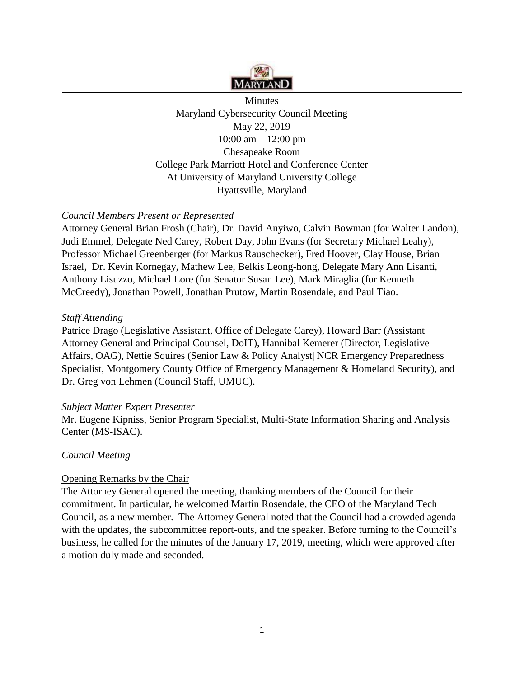

Minutes Maryland Cybersecurity Council Meeting May 22, 2019 10:00 am – 12:00 pm Chesapeake Room College Park Marriott Hotel and Conference Center At University of Maryland University College Hyattsville, Maryland

## *Council Members Present or Represented*

Attorney General Brian Frosh (Chair), Dr. David Anyiwo, Calvin Bowman (for Walter Landon), Judi Emmel, Delegate Ned Carey, Robert Day, John Evans (for Secretary Michael Leahy), Professor Michael Greenberger (for Markus Rauschecker), Fred Hoover, Clay House, Brian Israel, Dr. Kevin Kornegay, Mathew Lee, Belkis Leong-hong, Delegate Mary Ann Lisanti, Anthony Lisuzzo, Michael Lore (for Senator Susan Lee), Mark Miraglia (for Kenneth McCreedy), Jonathan Powell, Jonathan Prutow, Martin Rosendale, and Paul Tiao.

### *Staff Attending*

Patrice Drago (Legislative Assistant, Office of Delegate Carey), Howard Barr (Assistant Attorney General and Principal Counsel, DoIT), Hannibal Kemerer (Director, Legislative Affairs, OAG), Nettie Squires (Senior Law & Policy Analyst| NCR Emergency Preparedness Specialist, Montgomery County Office of Emergency Management & Homeland Security), and Dr. Greg von Lehmen (Council Staff, UMUC).

### *Subject Matter Expert Presenter*

Mr. Eugene Kipniss, Senior Program Specialist, Multi-State Information Sharing and Analysis Center (MS-ISAC).

### *Council Meeting*

### Opening Remarks by the Chair

The Attorney General opened the meeting, thanking members of the Council for their commitment. In particular, he welcomed Martin Rosendale, the CEO of the Maryland Tech Council, as a new member. The Attorney General noted that the Council had a crowded agenda with the updates, the subcommittee report-outs, and the speaker. Before turning to the Council's business, he called for the minutes of the January 17, 2019, meeting, which were approved after a motion duly made and seconded.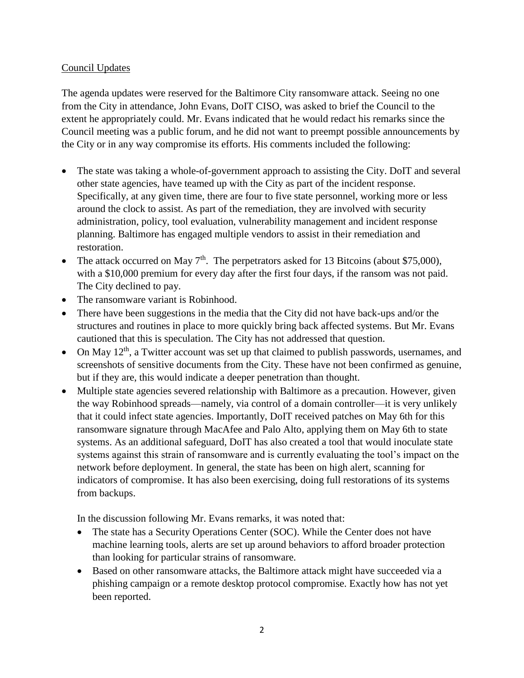## Council Updates

The agenda updates were reserved for the Baltimore City ransomware attack. Seeing no one from the City in attendance, John Evans, DoIT CISO, was asked to brief the Council to the extent he appropriately could. Mr. Evans indicated that he would redact his remarks since the Council meeting was a public forum, and he did not want to preempt possible announcements by the City or in any way compromise its efforts. His comments included the following:

- The state was taking a whole-of-government approach to assisting the City. DoIT and several other state agencies, have teamed up with the City as part of the incident response. Specifically, at any given time, there are four to five state personnel, working more or less around the clock to assist. As part of the remediation, they are involved with security administration, policy, tool evaluation, vulnerability management and incident response planning. Baltimore has engaged multiple vendors to assist in their remediation and restoration.
- The attack occurred on May  $7<sup>th</sup>$ . The perpetrators asked for 13 Bitcoins (about \$75,000), with a \$10,000 premium for every day after the first four days, if the ransom was not paid. The City declined to pay.
- The ransomware variant is Robinhood.
- There have been suggestions in the media that the City did not have back-ups and/or the structures and routines in place to more quickly bring back affected systems. But Mr. Evans cautioned that this is speculation. The City has not addressed that question.
- On May  $12<sup>th</sup>$ , a Twitter account was set up that claimed to publish passwords, usernames, and screenshots of sensitive documents from the City. These have not been confirmed as genuine, but if they are, this would indicate a deeper penetration than thought.
- Multiple state agencies severed relationship with Baltimore as a precaution. However, given the way Robinhood spreads—namely, via control of a domain controller—it is very unlikely that it could infect state agencies. Importantly, DoIT received patches on May 6th for this ransomware signature through MacAfee and Palo Alto, applying them on May 6th to state systems. As an additional safeguard, DoIT has also created a tool that would inoculate state systems against this strain of ransomware and is currently evaluating the tool's impact on the network before deployment. In general, the state has been on high alert, scanning for indicators of compromise. It has also been exercising, doing full restorations of its systems from backups.

In the discussion following Mr. Evans remarks, it was noted that:

- The state has a Security Operations Center (SOC). While the Center does not have machine learning tools, alerts are set up around behaviors to afford broader protection than looking for particular strains of ransomware.
- Based on other ransomware attacks, the Baltimore attack might have succeeded via a phishing campaign or a remote desktop protocol compromise. Exactly how has not yet been reported.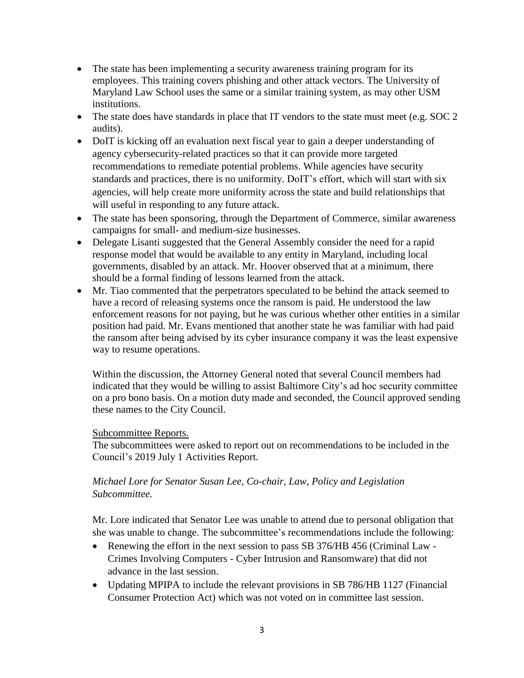- The state has been implementing a security awareness training program for its employees. This training covers phishing and other attack vectors. The University of Maryland Law School uses the same or a similar training system, as may other USM institutions.
- The state does have standards in place that IT vendors to the state must meet (e.g. SOC 2) audits).
- DoIT is kicking off an evaluation next fiscal year to gain a deeper understanding of agency cybersecurity-related practices so that it can provide more targeted recommendations to remediate potential problems. While agencies have security standards and practices, there is no uniformity. DoIT's effort, which will start with six agencies, will help create more uniformity across the state and build relationships that will useful in responding to any future attack.
- The state has been sponsoring, through the Department of Commerce, similar awareness campaigns for small- and medium-size businesses.
- Delegate Lisanti suggested that the General Assembly consider the need for a rapid response model that would be available to any entity in Maryland, including local governments, disabled by an attack. Mr. Hoover observed that at a minimum, there should be a formal finding of lessons learned from the attack.
- Mr. Tiao commented that the perpetrators speculated to be behind the attack seemed to have a record of releasing systems once the ransom is paid. He understood the law enforcement reasons for not paying, but he was curious whether other entities in a similar position had paid. Mr. Evans mentioned that another state he was familiar with had paid the ransom after being advised by its cyber insurance company it was the least expensive way to resume operations.

Within the discussion, the Attorney General noted that several Council members had indicated that they would be willing to assist Baltimore City's ad hoc security committee on a pro bono basis. On a motion duty made and seconded, the Council approved sending these names to the City Council.

## Subcommittee Reports.

The subcommittees were asked to report out on recommendations to be included in the Council's 2019 July 1 Activities Report.

## *Michael Lore for Senator Susan Lee, Co-chair, Law, Policy and Legislation Subcommittee.*

Mr. Lore indicated that Senator Lee was unable to attend due to personal obligation that she was unable to change. The subcommittee's recommendations include the following:

- Renewing the effort in the next session to pass SB 376/HB 456 (Criminal Law Crimes Involving Computers - Cyber Intrusion and Ransomware) that did not advance in the last session.
- Updating MPIPA to include the relevant provisions in SB 786/HB 1127 (Financial Consumer Protection Act) which was not voted on in committee last session.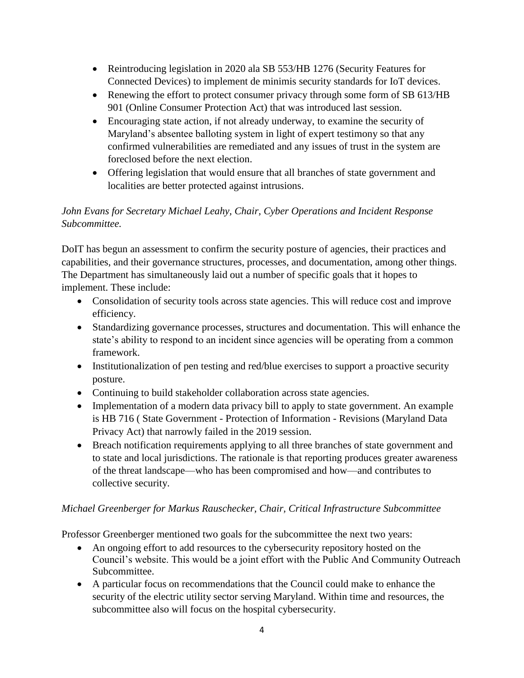- Reintroducing legislation in 2020 ala SB 553/HB 1276 (Security Features for Connected Devices) to implement de minimis security standards for IoT devices.
- Renewing the effort to protect consumer privacy through some form of SB 613/HB 901 (Online Consumer Protection Act) that was introduced last session.
- Encouraging state action, if not already underway, to examine the security of Maryland's absentee balloting system in light of expert testimony so that any confirmed vulnerabilities are remediated and any issues of trust in the system are foreclosed before the next election.
- Offering legislation that would ensure that all branches of state government and localities are better protected against intrusions.

# *John Evans for Secretary Michael Leahy, Chair, Cyber Operations and Incident Response Subcommittee.*

DoIT has begun an assessment to confirm the security posture of agencies, their practices and capabilities, and their governance structures, processes, and documentation, among other things. The Department has simultaneously laid out a number of specific goals that it hopes to implement. These include:

- Consolidation of security tools across state agencies. This will reduce cost and improve efficiency.
- Standardizing governance processes, structures and documentation. This will enhance the state's ability to respond to an incident since agencies will be operating from a common framework.
- Institutionalization of pen testing and red/blue exercises to support a proactive security posture.
- Continuing to build stakeholder collaboration across state agencies.
- Implementation of a modern data privacy bill to apply to state government. An example is HB 716 ( State Government - Protection of Information - Revisions (Maryland Data Privacy Act) that narrowly failed in the 2019 session.
- Breach notification requirements applying to all three branches of state government and to state and local jurisdictions. The rationale is that reporting produces greater awareness of the threat landscape—who has been compromised and how—and contributes to collective security.

# *Michael Greenberger for Markus Rauschecker, Chair, Critical Infrastructure Subcommittee*

Professor Greenberger mentioned two goals for the subcommittee the next two years:

- An ongoing effort to add resources to the cybersecurity repository hosted on the Council's website. This would be a joint effort with the Public And Community Outreach Subcommittee.
- A particular focus on recommendations that the Council could make to enhance the security of the electric utility sector serving Maryland. Within time and resources, the subcommittee also will focus on the hospital cybersecurity.